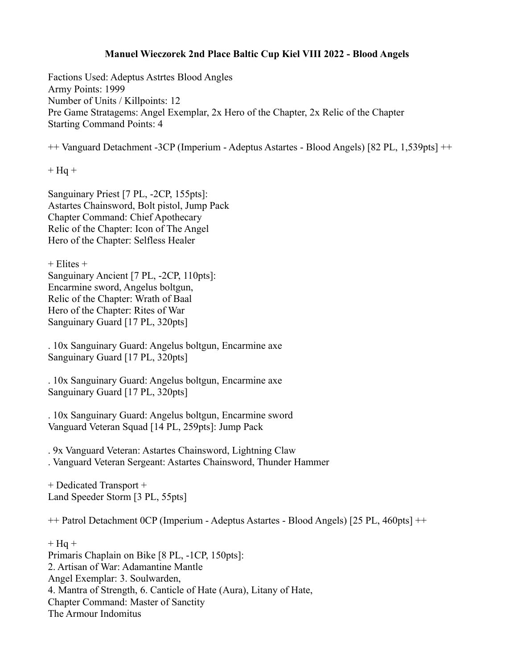## **Manuel Wieczorek 2nd Place Baltic Cup Kiel VIII 2022 - Blood Angels**

Factions Used: Adeptus Astrtes Blood Angles Army Points: 1999 Number of Units / Killpoints: 12 Pre Game Stratagems: Angel Exemplar, 2x Hero of the Chapter, 2x Relic of the Chapter Starting Command Points: 4

++ Vanguard Detachment -3CP (Imperium - Adeptus Astartes - Blood Angels) [82 PL, 1,539pts] ++

 $+$  Hq  $+$ 

Sanguinary Priest [7 PL, -2CP, 155pts]: Astartes Chainsword, Bolt pistol, Jump Pack Chapter Command: Chief Apothecary Relic of the Chapter: Icon of The Angel Hero of the Chapter: Selfless Healer

+ Elites +

Sanguinary Ancient [7 PL, -2CP, 110pts]: Encarmine sword, Angelus boltgun, Relic of the Chapter: Wrath of Baal Hero of the Chapter: Rites of War Sanguinary Guard [17 PL, 320pts]

. 10x Sanguinary Guard: Angelus boltgun, Encarmine axe Sanguinary Guard [17 PL, 320pts]

. 10x Sanguinary Guard: Angelus boltgun, Encarmine axe Sanguinary Guard [17 PL, 320pts]

. 10x Sanguinary Guard: Angelus boltgun, Encarmine sword Vanguard Veteran Squad [14 PL, 259pts]: Jump Pack

. 9x Vanguard Veteran: Astartes Chainsword, Lightning Claw . Vanguard Veteran Sergeant: Astartes Chainsword, Thunder Hammer

+ Dedicated Transport + Land Speeder Storm [3 PL, 55pts]

++ Patrol Detachment 0CP (Imperium - Adeptus Astartes - Blood Angels) [25 PL, 460pts] ++

 $+$  Hq  $+$ Primaris Chaplain on Bike [8 PL, -1CP, 150pts]: 2. Artisan of War: Adamantine Mantle Angel Exemplar: 3. Soulwarden, 4. Mantra of Strength, 6. Canticle of Hate (Aura), Litany of Hate, Chapter Command: Master of Sanctity The Armour Indomitus